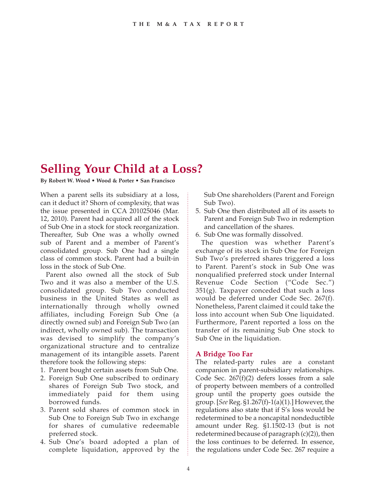## **Selling Your Child at a Loss?**

**By Robert W. Wood • Wood & Porter • San Francisco**

When a parent sells its subsidiary at a loss, can it deduct it? Shorn of complexity, that was the issue presented in CCA 201025046 (Mar. 12, 2010). Parent had acquired all of the stock of Sub One in a stock for stock reorganization. Thereafter, Sub One was a wholly owned sub of Parent and a member of Parent's consolidated group. Sub One had a single class of common stock. Parent had a built-in loss in the stock of Sub One.

Parent also owned all the stock of Sub Two and it was also a member of the U.S. consolidated group. Sub Two conducted business in the United States as well as internationally through wholly owned affiliates, including Foreign Sub One (a directly owned sub) and Foreign Sub Two (an indirect, wholly owned sub). The transaction was devised to simplify the company's organizational structure and to centralize management of its intangible assets. Parent therefore took the following steps:

- 1. Parent bought certain assets from Sub One.
- 2. Foreign Sub One subscribed to ordinary shares of Foreign Sub Two stock, and immediately paid for them using borrowed funds.
- 3. Parent sold shares of common stock in Sub One to Foreign Sub Two in exchange for shares of cumulative redeemable preferred stock.
- 4. Sub One's board adopted a plan of complete liquidation, approved by the

Sub One shareholders (Parent and Foreign Sub Two).

- 5. Sub One then distributed all of its assets to Parent and Foreign Sub Two in redemption and cancellation of the shares.
- 6. Sub One was formally dissolved.

The question was whether Parent's exchange of its stock in Sub One for Foreign Sub Two's preferred shares triggered a loss to Parent. Parent's stock in Sub One was nonqualified preferred stock under Internal Revenue Code Section ("Code Sec.")  $351(g)$ . Taxpayer conceded that such a loss would be deferred under Code Sec. 267(f). Nonetheless, Parent claimed it could take the loss into account when Sub One liquidated. Furthermore, Parent reported a loss on the transfer of its remaining Sub One stock to Sub One in the liquidation.

## **A Bridge Too Far**

The related-party rules are a constant companion in parent-subsidiary relationships. Code Sec. 267(f)(2) defers losses from a sale of property between members of a controlled group until the property goes outside the group. [*See* Reg. §1.267(f)-1(a)(1).] However, the regulations also state that if S's loss would be redetermined to be a noncapital nondeductible amount under Reg. §1.1502-13 (but is not redetermined because of paragraph (c)(2)), then the loss continues to be deferred. In essence, the regulations under Code Sec. 267 require a